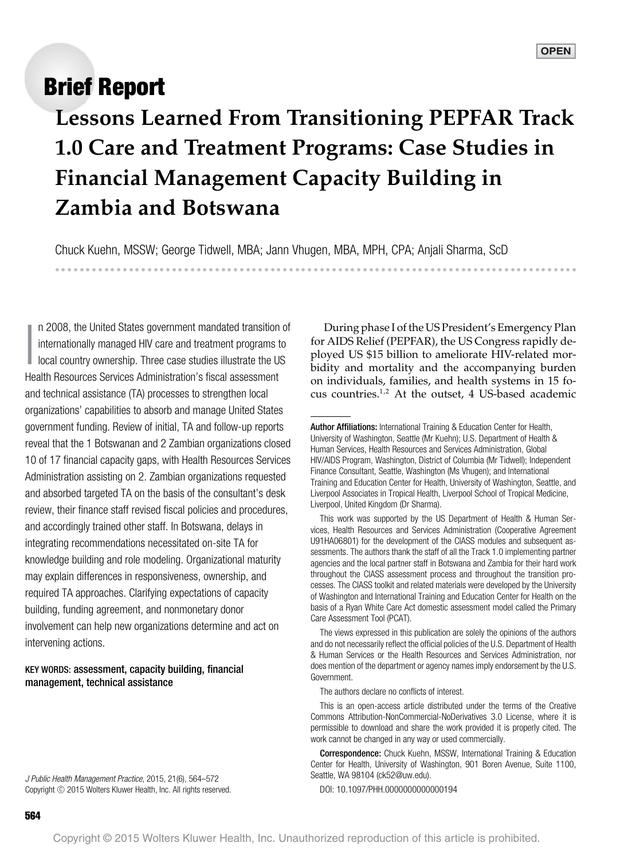# **Brief Report**

------------------------------------

**Lessons Learned From Transitioning PEPFAR Track 1.0 Care and Treatment Programs: Case Studies in Financial Management Capacity Building in Zambia and Botswana**

Chuck Kuehn, MSSW; George Tidwell, MBA; Jann Vhugen, MBA, MPH, CPA; Anjali Sharma, ScD --

-----------------------------------------------

I n 2008, the United States government mandated transition of internationally managed HIV care and treatment programs to local country ownership. Three case studies illustrate the US Health Resources Services Administration's fiscal assessment and technical assistance (TA) processes to strengthen local organizations' capabilities to absorb and manage United States government funding. Review of initial, TA and follow-up reports reveal that the 1 Botswanan and 2 Zambian organizations closed 10 of 17 financial capacity gaps, with Health Resources Services Administration assisting on 2. Zambian organizations requested and absorbed targeted TA on the basis of the consultant's desk review, their finance staff revised fiscal policies and procedures, and accordingly trained other staff. In Botswana, delays in integrating recommendations necessitated on-site TA for knowledge building and role modeling. Organizational maturity may explain differences in responsiveness, ownership, and required TA approaches. Clarifying expectations of capacity building, funding agreement, and nonmonetary donor involvement can help new organizations determine and act on intervening actions.

#### KEY WORDS: assessment, capacity building, financial management, technical assistance

J Public Health Management Practice, 2015, 21(6), 564–572 Copyright © 2015 Wolters Kluwer Health, Inc. All rights reserved.

During phase I of the US President's Emergency Plan for AIDS Relief (PEPFAR), the US Congress rapidly deployed US \$15 billion to ameliorate HIV-related morbidity and mortality and the accompanying burden on individuals, families, and health systems in 15 focus countries.1,2 At the outset, 4 US-based academic

The authors declare no conflicts of interest.

This is an open-access article distributed under the terms of the Creative Commons Attribution-NonCommercial-NoDerivatives 3.0 License, where it is permissible to download and share the work provided it is properly cited. The work cannot be changed in any way or used commercially.

Correspondence: Chuck Kuehn, MSSW, International Training & Education Center for Health, University of Washington, 901 Boren Avenue, Suite 1100, Seattle, WA 98104 [\(ck52@uw.edu\)](mailto:ck52@uw.edu).

DOI: 10.1097/PHH.0000000000000194

Author Affiliations: International Training & Education Center for Health, University of Washington, Seattle (Mr Kuehn); U.S. Department of Health & Human Services, Health Resources and Services Administration, Global HIV/AIDS Program, Washington, District of Columbia (Mr Tidwell); Independent Finance Consultant, Seattle, Washington (Ms Vhugen); and International Training and Education Center for Health, University of Washington, Seattle, and Liverpool Associates in Tropical Health, Liverpool School of Tropical Medicine, Liverpool, United Kingdom (Dr Sharma).

This work was supported by the US Department of Health & Human Services, Health Resources and Services Administration (Cooperative Agreement U91HA06801) for the development of the ClASS modules and subsequent assessments. The authors thank the staff of all the Track 1.0 implementing partner agencies and the local partner staff in Botswana and Zambia for their hard work throughout the ClASS assessment process and throughout the transition processes. The ClASS toolkit and related materials were developed by the University of Washington and International Training and Education Center for Health on the basis of a Ryan White Care Act domestic assessment model called the Primary Care Assessment Tool (PCAT).

The views expressed in this publication are solely the opinions of the authors and do not necessarily reflect the official policies of the U.S. Department of Health & Human Services or the Health Resources and Services Administration, nor does mention of the department or agency names imply endorsement by the U.S. Government.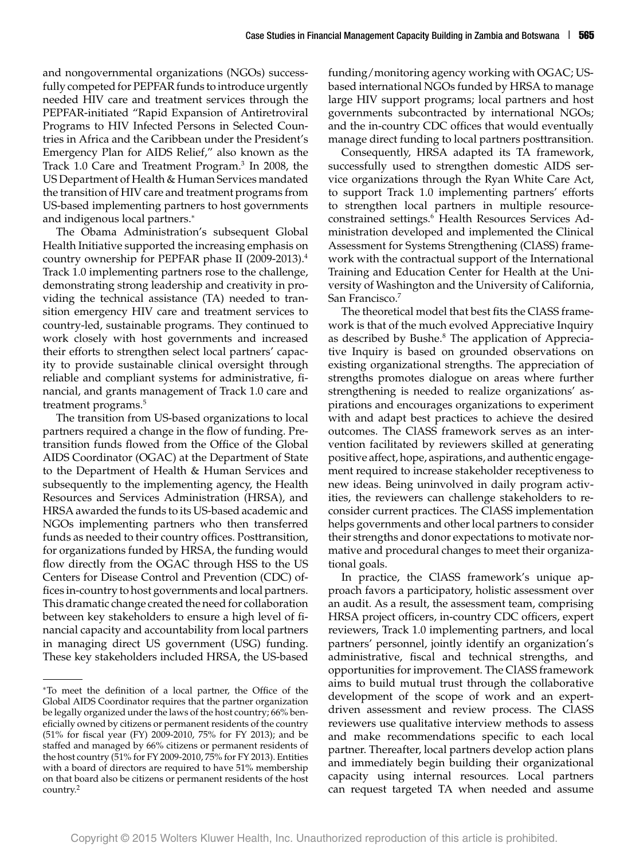and nongovernmental organizations (NGOs) successfully competed for PEPFAR funds to introduce urgently needed HIV care and treatment services through the PEPFAR-initiated "Rapid Expansion of Antiretroviral Programs to HIV Infected Persons in Selected Countries in Africa and the Caribbean under the President's Emergency Plan for AIDS Relief," also known as the Track 1.0 Care and Treatment Program.3 In 2008, the US Department of Health & Human Services mandated the transition of HIV care and treatment programs from US-based implementing partners to host governments and indigenous local partners.<sup>∗</sup>

The Obama Administration's subsequent Global Health Initiative supported the increasing emphasis on country ownership for PEPFAR phase II (2009-2013).4 Track 1.0 implementing partners rose to the challenge, demonstrating strong leadership and creativity in providing the technical assistance (TA) needed to transition emergency HIV care and treatment services to country-led, sustainable programs. They continued to work closely with host governments and increased their efforts to strengthen select local partners' capacity to provide sustainable clinical oversight through reliable and compliant systems for administrative, financial, and grants management of Track 1.0 care and treatment programs.<sup>5</sup>

The transition from US-based organizations to local partners required a change in the flow of funding. Pretransition funds flowed from the Office of the Global AIDS Coordinator (OGAC) at the Department of State to the Department of Health & Human Services and subsequently to the implementing agency, the Health Resources and Services Administration (HRSA), and HRSA awarded the funds to its US-based academic and NGOs implementing partners who then transferred funds as needed to their country offices. Posttransition, for organizations funded by HRSA, the funding would flow directly from the OGAC through HSS to the US Centers for Disease Control and Prevention (CDC) offices in-country to host governments and local partners. This dramatic change created the need for collaboration between key stakeholders to ensure a high level of financial capacity and accountability from local partners in managing direct US government (USG) funding. These key stakeholders included HRSA, the US-based funding/monitoring agency working with OGAC; USbased international NGOs funded by HRSA to manage large HIV support programs; local partners and host governments subcontracted by international NGOs; and the in-country CDC offices that would eventually manage direct funding to local partners posttransition.

Consequently, HRSA adapted its TA framework, successfully used to strengthen domestic AIDS service organizations through the Ryan White Care Act, to support Track 1.0 implementing partners' efforts to strengthen local partners in multiple resourceconstrained settings.<sup>6</sup> Health Resources Services Administration developed and implemented the Clinical Assessment for Systems Strengthening (ClASS) framework with the contractual support of the International Training and Education Center for Health at the University of Washington and the University of California, San Francisco.7

The theoretical model that best fits the ClASS framework is that of the much evolved Appreciative Inquiry as described by Bushe.<sup>8</sup> The application of Appreciative Inquiry is based on grounded observations on existing organizational strengths. The appreciation of strengths promotes dialogue on areas where further strengthening is needed to realize organizations' aspirations and encourages organizations to experiment with and adapt best practices to achieve the desired outcomes. The ClASS framework serves as an intervention facilitated by reviewers skilled at generating positive affect, hope, aspirations, and authentic engagement required to increase stakeholder receptiveness to new ideas. Being uninvolved in daily program activities, the reviewers can challenge stakeholders to reconsider current practices. The ClASS implementation helps governments and other local partners to consider their strengths and donor expectations to motivate normative and procedural changes to meet their organizational goals.

In practice, the ClASS framework's unique approach favors a participatory, holistic assessment over an audit. As a result, the assessment team, comprising HRSA project officers, in-country CDC officers, expert reviewers, Track 1.0 implementing partners, and local partners' personnel, jointly identify an organization's administrative, fiscal and technical strengths, and opportunities for improvement. The ClASS framework aims to build mutual trust through the collaborative development of the scope of work and an expertdriven assessment and review process. The ClASS reviewers use qualitative interview methods to assess and make recommendations specific to each local partner. Thereafter, local partners develop action plans and immediately begin building their organizational capacity using internal resources. Local partners can request targeted TA when needed and assume

<sup>∗</sup>To meet the definition of a local partner, the Office of the Global AIDS Coordinator requires that the partner organization be legally organized under the laws of the host country; 66% beneficially owned by citizens or permanent residents of the country (51% for fiscal year (FY) 2009-2010, 75% for FY 2013); and be staffed and managed by 66% citizens or permanent residents of the host country (51% for FY 2009-2010, 75% for FY 2013). Entities with a board of directors are required to have 51% membership on that board also be citizens or permanent residents of the host country.2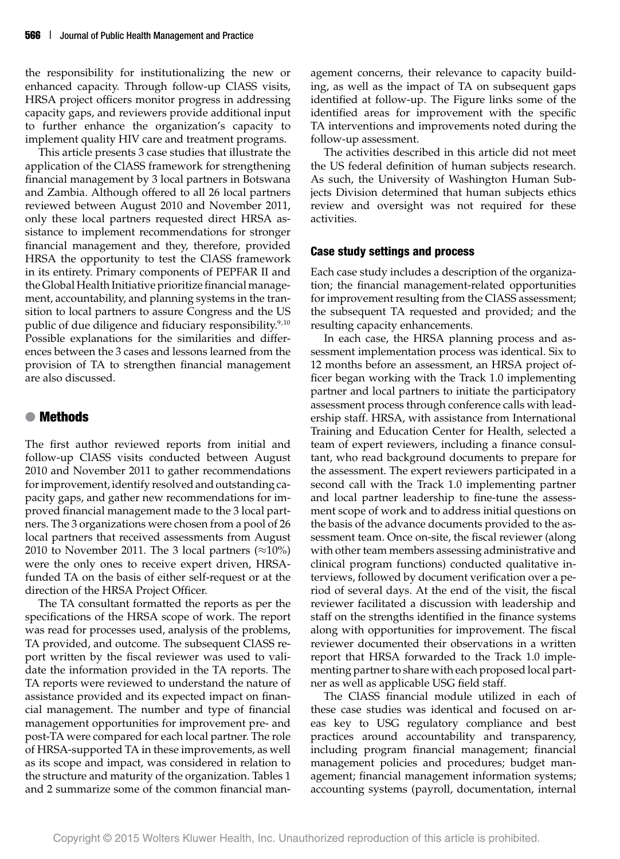the responsibility for institutionalizing the new or enhanced capacity. Through follow-up ClASS visits, HRSA project officers monitor progress in addressing capacity gaps, and reviewers provide additional input to further enhance the organization's capacity to implement quality HIV care and treatment programs.

This article presents 3 case studies that illustrate the application of the ClASS framework for strengthening financial management by 3 local partners in Botswana and Zambia. Although offered to all 26 local partners reviewed between August 2010 and November 2011, only these local partners requested direct HRSA assistance to implement recommendations for stronger financial management and they, therefore, provided HRSA the opportunity to test the ClASS framework in its entirety. Primary components of PEPFAR II and the Global Health Initiative prioritize financial management, accountability, and planning systems in the transition to local partners to assure Congress and the US public of due diligence and fiduciary responsibility. $9,10$ Possible explanations for the similarities and differences between the 3 cases and lessons learned from the provision of TA to strengthen financial management are also discussed.

### ● **Methods**

The first author reviewed reports from initial and follow-up ClASS visits conducted between August 2010 and November 2011 to gather recommendations for improvement, identify resolved and outstanding capacity gaps, and gather new recommendations for improved financial management made to the 3 local partners. The 3 organizations were chosen from a pool of 26 local partners that received assessments from August 2010 to November 2011. The 3 local partners ( $\approx$ 10%) were the only ones to receive expert driven, HRSAfunded TA on the basis of either self-request or at the direction of the HRSA Project Officer.

The TA consultant formatted the reports as per the specifications of the HRSA scope of work. The report was read for processes used, analysis of the problems, TA provided, and outcome. The subsequent ClASS report written by the fiscal reviewer was used to validate the information provided in the TA reports. The TA reports were reviewed to understand the nature of assistance provided and its expected impact on financial management. The number and type of financial management opportunities for improvement pre- and post-TA were compared for each local partner. The role of HRSA-supported TA in these improvements, as well as its scope and impact, was considered in relation to the structure and maturity of the organization. Tables 1 and 2 summarize some of the common financial management concerns, their relevance to capacity building, as well as the impact of TA on subsequent gaps identified at follow-up. The Figure links some of the identified areas for improvement with the specific TA interventions and improvements noted during the follow-up assessment.

The activities described in this article did not meet the US federal definition of human subjects research. As such, the University of Washington Human Subjects Division determined that human subjects ethics review and oversight was not required for these activities.

#### **Case study settings and process**

Each case study includes a description of the organization; the financial management-related opportunities for improvement resulting from the ClASS assessment; the subsequent TA requested and provided; and the resulting capacity enhancements.

In each case, the HRSA planning process and assessment implementation process was identical. Six to 12 months before an assessment, an HRSA project officer began working with the Track 1.0 implementing partner and local partners to initiate the participatory assessment process through conference calls with leadership staff. HRSA, with assistance from International Training and Education Center for Health, selected a team of expert reviewers, including a finance consultant, who read background documents to prepare for the assessment. The expert reviewers participated in a second call with the Track 1.0 implementing partner and local partner leadership to fine-tune the assessment scope of work and to address initial questions on the basis of the advance documents provided to the assessment team. Once on-site, the fiscal reviewer (along with other team members assessing administrative and clinical program functions) conducted qualitative interviews, followed by document verification over a period of several days. At the end of the visit, the fiscal reviewer facilitated a discussion with leadership and staff on the strengths identified in the finance systems along with opportunities for improvement. The fiscal reviewer documented their observations in a written report that HRSA forwarded to the Track 1.0 implementing partner to share with each proposed local partner as well as applicable USG field staff.

The ClASS financial module utilized in each of these case studies was identical and focused on areas key to USG regulatory compliance and best practices around accountability and transparency, including program financial management; financial management policies and procedures; budget management; financial management information systems; accounting systems (payroll, documentation, internal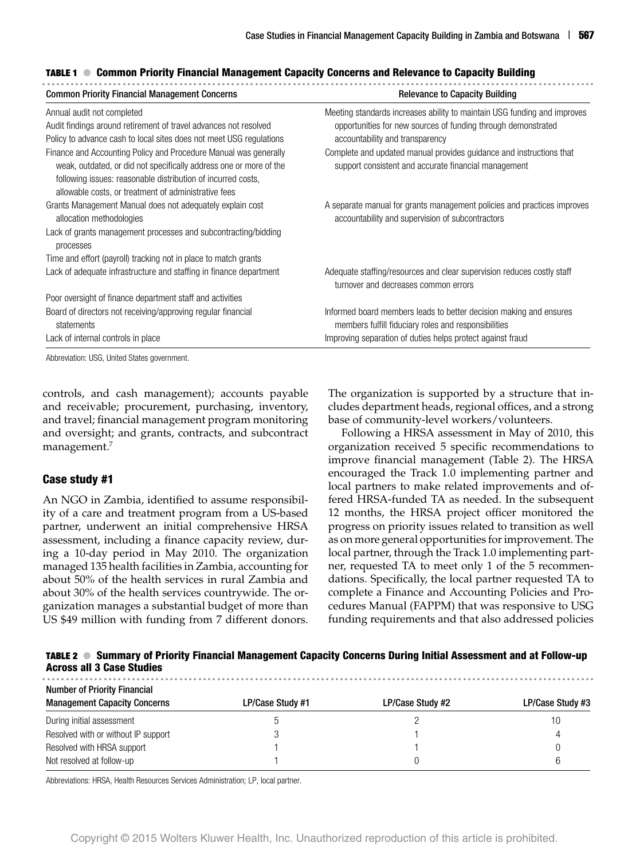|  |  |  | TABLE 1 ● Common Priority Financial Management Capacity Concerns and Relevance to Capacity Building |  |  |
|--|--|--|-----------------------------------------------------------------------------------------------------|--|--|
|--|--|--|-----------------------------------------------------------------------------------------------------|--|--|

| <b>Common Priority Financial Management Concerns</b>                                                                                                                                                   | <b>Relevance to Capacity Building</b>                                                                                                     |  |  |
|--------------------------------------------------------------------------------------------------------------------------------------------------------------------------------------------------------|-------------------------------------------------------------------------------------------------------------------------------------------|--|--|
| Annual audit not completed<br>Audit findings around retirement of travel advances not resolved                                                                                                         | Meeting standards increases ability to maintain USG funding and improves<br>opportunities for new sources of funding through demonstrated |  |  |
| Policy to advance cash to local sites does not meet USG regulations                                                                                                                                    | accountability and transparency                                                                                                           |  |  |
| Finance and Accounting Policy and Procedure Manual was generally<br>weak, outdated, or did not specifically address one or more of the<br>following issues: reasonable distribution of incurred costs, | Complete and updated manual provides guidance and instructions that<br>support consistent and accurate financial management               |  |  |
| allowable costs, or treatment of administrative fees                                                                                                                                                   |                                                                                                                                           |  |  |
| Grants Management Manual does not adequately explain cost<br>allocation methodologies                                                                                                                  | A separate manual for grants management policies and practices improves<br>accountability and supervision of subcontractors               |  |  |
| Lack of grants management processes and subcontracting/bidding<br>processes                                                                                                                            |                                                                                                                                           |  |  |
| Time and effort (payroll) tracking not in place to match grants                                                                                                                                        |                                                                                                                                           |  |  |
| Lack of adequate infrastructure and staffing in finance department                                                                                                                                     | Adequate staffing/resources and clear supervision reduces costly staff<br>turnover and decreases common errors                            |  |  |
| Poor oversight of finance department staff and activities                                                                                                                                              |                                                                                                                                           |  |  |
| Board of directors not receiving/approving regular financial<br>statements                                                                                                                             | Informed board members leads to better decision making and ensures<br>members fulfill fiduciary roles and responsibilities                |  |  |
| Lack of internal controls in place                                                                                                                                                                     | Improving separation of duties helps protect against fraud                                                                                |  |  |

previation: USG, United States government.

controls, and cash management); accounts payable and receivable; procurement, purchasing, inventory, and travel; financial management program monitoring and oversight; and grants, contracts, and subcontract management.<sup>7</sup>

#### **Case study #1**

An NGO in Zambia, identified to assume responsibility of a care and treatment program from a US-based partner, underwent an initial comprehensive HRSA assessment, including a finance capacity review, during a 10-day period in May 2010. The organization managed 135 health facilities in Zambia, accounting for about 50% of the health services in rural Zambia and about 30% of the health services countrywide. The organization manages a substantial budget of more than US \$49 million with funding from 7 different donors.

The organization is supported by a structure that includes department heads, regional offices, and a strong base of community-level workers/volunteers.

Following a HRSA assessment in May of 2010, this organization received 5 specific recommendations to improve financial management (Table 2). The HRSA encouraged the Track 1.0 implementing partner and local partners to make related improvements and offered HRSA-funded TA as needed. In the subsequent 12 months, the HRSA project officer monitored the progress on priority issues related to transition as well as on more general opportunities for improvement. The local partner, through the Track 1.0 implementing partner, requested TA to meet only 1 of the 5 recommendations. Specifically, the local partner requested TA to complete a Finance and Accounting Policies and Procedures Manual (FAPPM) that was responsive to USG funding requirements and that also addressed policies

| TABLE 2 ● Summary of Priority Financial Management Capacity Concerns During Initial Assessment and at Follow-up |  |  |  |
|-----------------------------------------------------------------------------------------------------------------|--|--|--|
| <b>Across all 3 Case Studies</b>                                                                                |  |  |  |

| <b>Number of Priority Financial</b> |                  |                  |                  |  |  |  |  |
|-------------------------------------|------------------|------------------|------------------|--|--|--|--|
| <b>Management Capacity Concerns</b> | LP/Case Study #1 | LP/Case Study #2 | LP/Case Study #3 |  |  |  |  |
| During initial assessment           |                  |                  | 10               |  |  |  |  |
| Resolved with or without IP support |                  |                  | 4                |  |  |  |  |
| Resolved with HRSA support          |                  |                  |                  |  |  |  |  |
| Not resolved at follow-up           |                  |                  | 6                |  |  |  |  |

Abbreviations: HRSA, Health Resources Services Administration; LP, local partner.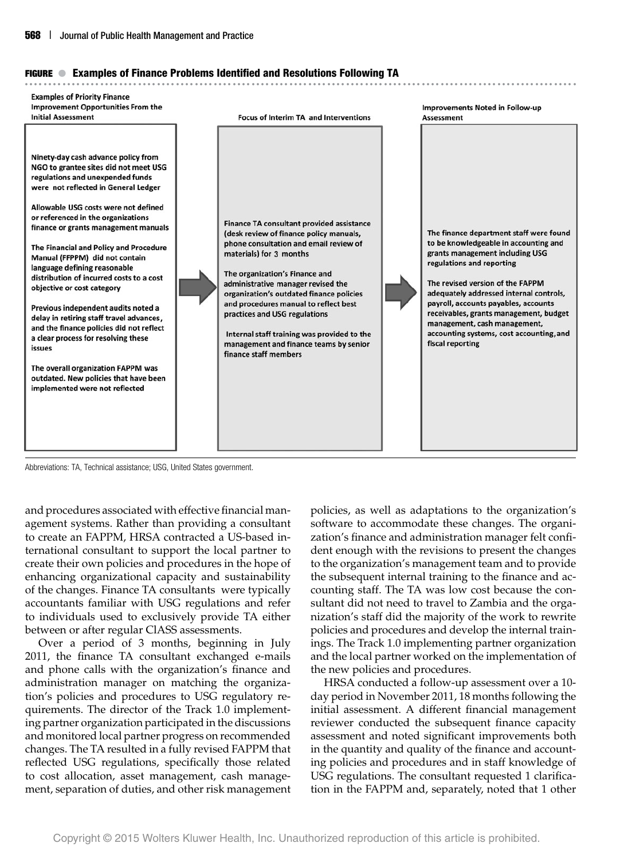#### **FIGURE** ● **Examples of Finance Problems Identified and Resolutions Following TA**



Abbreviations: TA, Technical assistance; USG, United States government.

and procedures associated with effective financial management systems. Rather than providing a consultant to create an FAPPM, HRSA contracted a US-based international consultant to support the local partner to create their own policies and procedures in the hope of enhancing organizational capacity and sustainability of the changes. Finance TA consultants were typically accountants familiar with USG regulations and refer to individuals used to exclusively provide TA either between or after regular ClASS assessments.

Over a period of 3 months, beginning in July 2011, the finance TA consultant exchanged e-mails and phone calls with the organization's finance and administration manager on matching the organization's policies and procedures to USG regulatory requirements. The director of the Track 1.0 implementing partner organization participated in the discussions and monitored local partner progress on recommended changes. The TA resulted in a fully revised FAPPM that reflected USG regulations, specifically those related to cost allocation, asset management, cash management, separation of duties, and other risk management

policies, as well as adaptations to the organization's software to accommodate these changes. The organization's finance and administration manager felt confident enough with the revisions to present the changes to the organization's management team and to provide the subsequent internal training to the finance and accounting staff. The TA was low cost because the consultant did not need to travel to Zambia and the organization's staff did the majority of the work to rewrite policies and procedures and develop the internal trainings. The Track 1.0 implementing partner organization and the local partner worked on the implementation of the new policies and procedures.

HRSA conducted a follow-up assessment over a 10 day period in November 2011, 18 months following the initial assessment. A different financial management reviewer conducted the subsequent finance capacity assessment and noted significant improvements both in the quantity and quality of the finance and accounting policies and procedures and in staff knowledge of USG regulations. The consultant requested 1 clarification in the FAPPM and, separately, noted that 1 other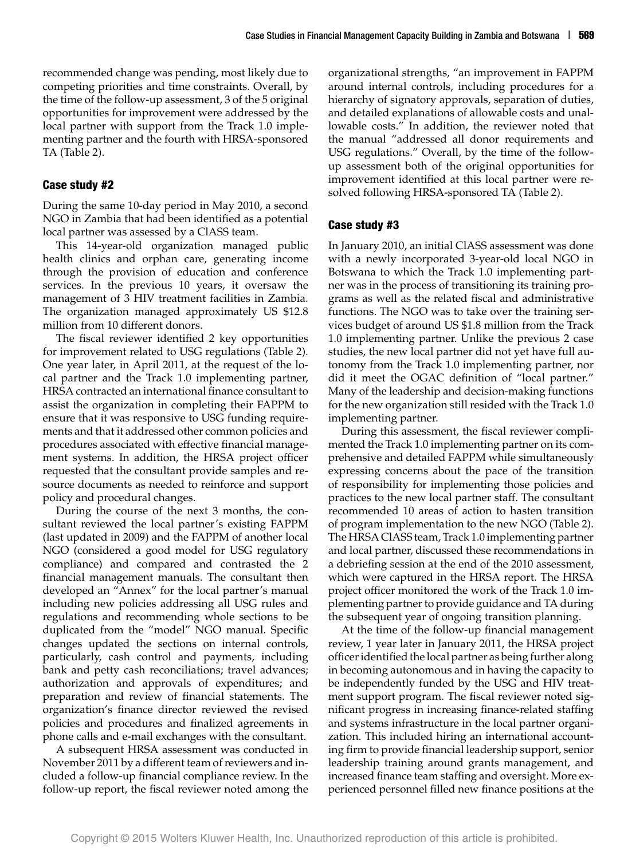recommended change was pending, most likely due to competing priorities and time constraints. Overall, by the time of the follow-up assessment, 3 of the 5 original opportunities for improvement were addressed by the local partner with support from the Track 1.0 implementing partner and the fourth with HRSA-sponsored TA (Table 2).

#### **Case study #2**

During the same 10-day period in May 2010, a second NGO in Zambia that had been identified as a potential local partner was assessed by a ClASS team.

This 14-year-old organization managed public health clinics and orphan care, generating income through the provision of education and conference services. In the previous 10 years, it oversaw the management of 3 HIV treatment facilities in Zambia. The organization managed approximately US \$12.8 million from 10 different donors.

The fiscal reviewer identified 2 key opportunities for improvement related to USG regulations (Table 2). One year later, in April 2011, at the request of the local partner and the Track 1.0 implementing partner, HRSA contracted an international finance consultant to assist the organization in completing their FAPPM to ensure that it was responsive to USG funding requirements and that it addressed other common policies and procedures associated with effective financial management systems. In addition, the HRSA project officer requested that the consultant provide samples and resource documents as needed to reinforce and support policy and procedural changes.

During the course of the next 3 months, the consultant reviewed the local partner's existing FAPPM (last updated in 2009) and the FAPPM of another local NGO (considered a good model for USG regulatory compliance) and compared and contrasted the 2 financial management manuals. The consultant then developed an "Annex" for the local partner's manual including new policies addressing all USG rules and regulations and recommending whole sections to be duplicated from the "model" NGO manual. Specific changes updated the sections on internal controls, particularly, cash control and payments, including bank and petty cash reconciliations; travel advances; authorization and approvals of expenditures; and preparation and review of financial statements. The organization's finance director reviewed the revised policies and procedures and finalized agreements in phone calls and e-mail exchanges with the consultant.

A subsequent HRSA assessment was conducted in November 2011 by a different team of reviewers and included a follow-up financial compliance review. In the follow-up report, the fiscal reviewer noted among the organizational strengths, "an improvement in FAPPM around internal controls, including procedures for a hierarchy of signatory approvals, separation of duties, and detailed explanations of allowable costs and unallowable costs." In addition, the reviewer noted that the manual "addressed all donor requirements and USG regulations." Overall, by the time of the followup assessment both of the original opportunities for improvement identified at this local partner were resolved following HRSA-sponsored TA (Table 2).

#### **Case study #3**

In January 2010, an initial ClASS assessment was done with a newly incorporated 3-year-old local NGO in Botswana to which the Track 1.0 implementing partner was in the process of transitioning its training programs as well as the related fiscal and administrative functions. The NGO was to take over the training services budget of around US \$1.8 million from the Track 1.0 implementing partner. Unlike the previous 2 case studies, the new local partner did not yet have full autonomy from the Track 1.0 implementing partner, nor did it meet the OGAC definition of "local partner." Many of the leadership and decision-making functions for the new organization still resided with the Track 1.0 implementing partner.

During this assessment, the fiscal reviewer complimented the Track 1.0 implementing partner on its comprehensive and detailed FAPPM while simultaneously expressing concerns about the pace of the transition of responsibility for implementing those policies and practices to the new local partner staff. The consultant recommended 10 areas of action to hasten transition of program implementation to the new NGO (Table 2). The HRSA ClASS team, Track 1.0 implementing partner and local partner, discussed these recommendations in a debriefing session at the end of the 2010 assessment, which were captured in the HRSA report. The HRSA project officer monitored the work of the Track 1.0 implementing partner to provide guidance and TA during the subsequent year of ongoing transition planning.

At the time of the follow-up financial management review, 1 year later in January 2011, the HRSA project officer identified the local partner as being further along in becoming autonomous and in having the capacity to be independently funded by the USG and HIV treatment support program. The fiscal reviewer noted significant progress in increasing finance-related staffing and systems infrastructure in the local partner organization. This included hiring an international accounting firm to provide financial leadership support, senior leadership training around grants management, and increased finance team staffing and oversight. More experienced personnel filled new finance positions at the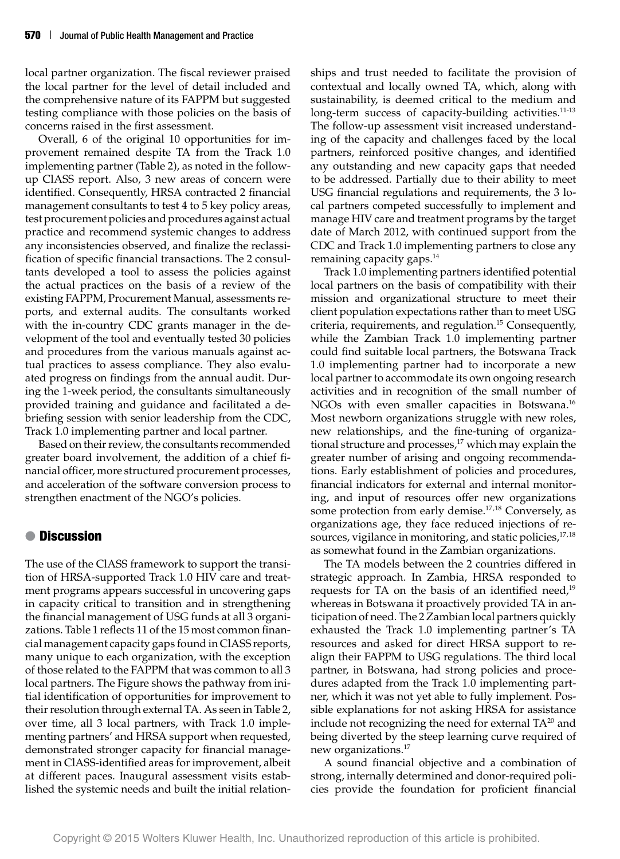local partner organization. The fiscal reviewer praised the local partner for the level of detail included and the comprehensive nature of its FAPPM but suggested testing compliance with those policies on the basis of concerns raised in the first assessment.

Overall, 6 of the original 10 opportunities for improvement remained despite TA from the Track 1.0 implementing partner (Table 2), as noted in the followup ClASS report. Also, 3 new areas of concern were identified. Consequently, HRSA contracted 2 financial management consultants to test 4 to 5 key policy areas, test procurement policies and procedures against actual practice and recommend systemic changes to address any inconsistencies observed, and finalize the reclassification of specific financial transactions. The 2 consultants developed a tool to assess the policies against the actual practices on the basis of a review of the existing FAPPM, Procurement Manual, assessments reports, and external audits. The consultants worked with the in-country CDC grants manager in the development of the tool and eventually tested 30 policies and procedures from the various manuals against actual practices to assess compliance. They also evaluated progress on findings from the annual audit. During the 1-week period, the consultants simultaneously provided training and guidance and facilitated a debriefing session with senior leadership from the CDC, Track 1.0 implementing partner and local partner.

Based on their review, the consultants recommended greater board involvement, the addition of a chief financial officer, more structured procurement processes, and acceleration of the software conversion process to strengthen enactment of the NGO's policies.

## ● **Discussion**

The use of the ClASS framework to support the transition of HRSA-supported Track 1.0 HIV care and treatment programs appears successful in uncovering gaps in capacity critical to transition and in strengthening the financial management of USG funds at all 3 organizations. Table 1 reflects 11 of the 15 most common financial management capacity gaps found in ClASS reports, many unique to each organization, with the exception of those related to the FAPPM that was common to all 3 local partners. The Figure shows the pathway from initial identification of opportunities for improvement to their resolution through external TA. As seen in Table 2, over time, all 3 local partners, with Track 1.0 implementing partners' and HRSA support when requested, demonstrated stronger capacity for financial management in ClASS-identified areas for improvement, albeit at different paces. Inaugural assessment visits established the systemic needs and built the initial relationships and trust needed to facilitate the provision of contextual and locally owned TA, which, along with sustainability, is deemed critical to the medium and long-term success of capacity-building activities.<sup>11-13</sup> The follow-up assessment visit increased understanding of the capacity and challenges faced by the local partners, reinforced positive changes, and identified any outstanding and new capacity gaps that needed to be addressed. Partially due to their ability to meet USG financial regulations and requirements, the 3 local partners competed successfully to implement and manage HIV care and treatment programs by the target date of March 2012, with continued support from the CDC and Track 1.0 implementing partners to close any remaining capacity gaps.<sup>14</sup>

Track 1.0 implementing partners identified potential local partners on the basis of compatibility with their mission and organizational structure to meet their client population expectations rather than to meet USG criteria, requirements, and regulation.<sup>15</sup> Consequently, while the Zambian Track 1.0 implementing partner could find suitable local partners, the Botswana Track 1.0 implementing partner had to incorporate a new local partner to accommodate its own ongoing research activities and in recognition of the small number of NGOs with even smaller capacities in Botswana.<sup>16</sup> Most newborn organizations struggle with new roles, new relationships, and the fine-tuning of organizational structure and processes,<sup>17</sup> which may explain the greater number of arising and ongoing recommendations. Early establishment of policies and procedures, financial indicators for external and internal monitoring, and input of resources offer new organizations some protection from early demise.<sup>17,18</sup> Conversely, as organizations age, they face reduced injections of resources, vigilance in monitoring, and static policies,  $17,18$ as somewhat found in the Zambian organizations.

The TA models between the 2 countries differed in strategic approach. In Zambia, HRSA responded to requests for TA on the basis of an identified need, $19$ whereas in Botswana it proactively provided TA in anticipation of need. The 2 Zambian local partners quickly exhausted the Track 1.0 implementing partner's TA resources and asked for direct HRSA support to realign their FAPPM to USG regulations. The third local partner, in Botswana, had strong policies and procedures adapted from the Track 1.0 implementing partner, which it was not yet able to fully implement. Possible explanations for not asking HRSA for assistance include not recognizing the need for external  $TA^{20}$  and being diverted by the steep learning curve required of new organizations.17

A sound financial objective and a combination of strong, internally determined and donor-required policies provide the foundation for proficient financial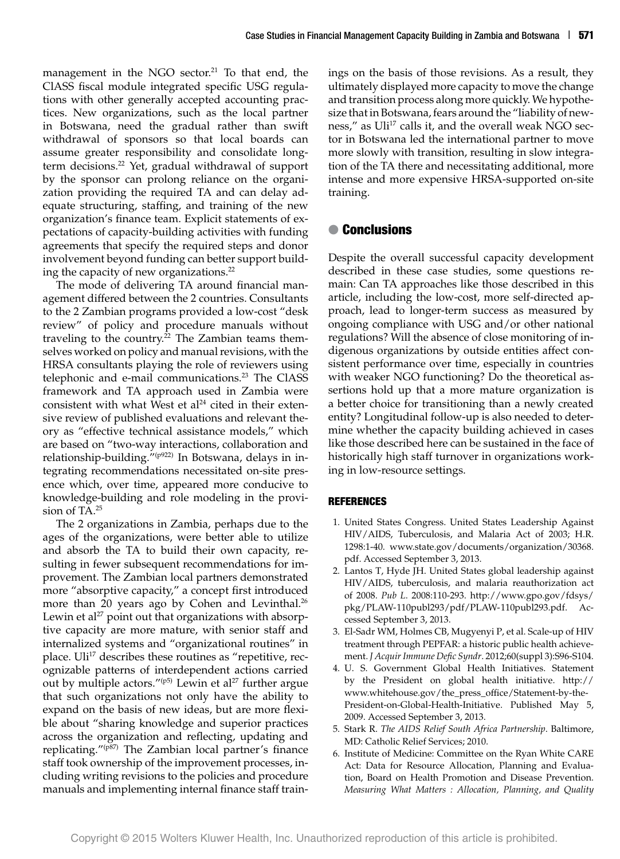management in the NGO sector.<sup>21</sup> To that end, the ClASS fiscal module integrated specific USG regulations with other generally accepted accounting practices. New organizations, such as the local partner in Botswana, need the gradual rather than swift withdrawal of sponsors so that local boards can assume greater responsibility and consolidate longterm decisions.<sup>22</sup> Yet, gradual withdrawal of support by the sponsor can prolong reliance on the organization providing the required TA and can delay adequate structuring, staffing, and training of the new organization's finance team. Explicit statements of expectations of capacity-building activities with funding agreements that specify the required steps and donor involvement beyond funding can better support building the capacity of new organizations.<sup>22</sup>

The mode of delivering TA around financial management differed between the 2 countries. Consultants to the 2 Zambian programs provided a low-cost "desk review" of policy and procedure manuals without traveling to the country.<sup>22</sup> The Zambian teams themselves worked on policy and manual revisions, with the HRSA consultants playing the role of reviewers using telephonic and e-mail communications.<sup>23</sup> The ClASS framework and TA approach used in Zambia were consistent with what West et al<sup>24</sup> cited in their extensive review of published evaluations and relevant theory as "effective technical assistance models," which are based on "two-way interactions, collaboration and relationship-building."(p922) In Botswana, delays in integrating recommendations necessitated on-site presence which, over time, appeared more conducive to knowledge-building and role modeling in the provision of TA.25

The 2 organizations in Zambia, perhaps due to the ages of the organizations, were better able to utilize and absorb the TA to build their own capacity, resulting in fewer subsequent recommendations for improvement. The Zambian local partners demonstrated more "absorptive capacity," a concept first introduced more than 20 years ago by Cohen and Levinthal.<sup>26</sup> Lewin et al<sup>27</sup> point out that organizations with absorptive capacity are more mature, with senior staff and internalized systems and "organizational routines" in place. Uli<sup>17</sup> describes these routines as "repetitive, recognizable patterns of interdependent actions carried out by multiple actors." $(p5)$  Lewin et al<sup>27</sup> further argue that such organizations not only have the ability to expand on the basis of new ideas, but are more flexible about "sharing knowledge and superior practices across the organization and reflecting, updating and replicating."(p87) The Zambian local partner's finance staff took ownership of the improvement processes, including writing revisions to the policies and procedure manuals and implementing internal finance staff trainings on the basis of those revisions. As a result, they ultimately displayed more capacity to move the change and transition process along more quickly. We hypothesize that in Botswana, fears around the "liability of newness," as Uli<sup>17</sup> calls it, and the overall weak NGO sector in Botswana led the international partner to move more slowly with transition, resulting in slow integration of the TA there and necessitating additional, more intense and more expensive HRSA-supported on-site training.

#### ● **Conclusions**

Despite the overall successful capacity development described in these case studies, some questions remain: Can TA approaches like those described in this article, including the low-cost, more self-directed approach, lead to longer-term success as measured by ongoing compliance with USG and/or other national regulations? Will the absence of close monitoring of indigenous organizations by outside entities affect consistent performance over time, especially in countries with weaker NGO functioning? Do the theoretical assertions hold up that a more mature organization is a better choice for transitioning than a newly created entity? Longitudinal follow-up is also needed to determine whether the capacity building achieved in cases like those described here can be sustained in the face of historically high staff turnover in organizations working in low-resource settings.

#### **REFERENCES**

- 1. United States Congress. United States Leadership Against HIV/AIDS, Tuberculosis, and Malaria Act of 2003; H.R. 1298:1-40. [www.state.gov/documents/organization/30368.](http://www.state.gov/documents/organization/30368.pdf) [pdf.](http://www.state.gov/documents/organization/30368.pdf) Accessed September 3, 2013.
- 2. Lantos T, Hyde JH. United States global leadership against HIV/AIDS, tuberculosis, and malaria reauthorization act of 2008. *Pub L*. 2008:110-293. [http://www.gpo.gov/fdsys/](http://www.gpo.gov/fdsys/pkg/PLAW-110publ293/pdf/PLAW-110publ293.pdf) [pkg/PLAW-110publ293/pdf/PLAW-110publ293.pdf.](http://www.gpo.gov/fdsys/pkg/PLAW-110publ293/pdf/PLAW-110publ293.pdf) Accessed September 3, 2013.
- 3. El-Sadr WM, Holmes CB, Mugyenyi P, et al. Scale-up of HIV treatment through PEPFAR: a historic public health achievement. *J Acquir Immune Defic Syndr*. 2012;60(suppl 3):S96-S104.
- 4. U. S. Government Global Health Initiatives. Statement by the President on global health initiative. [http://](http://www.whitehouse.gov/the_press_office/Statement-by-the-President-on-Global-Health-Initiative) [www.whitehouse.gov/the\\_press\\_office/Statement-by-the-](http://www.whitehouse.gov/the_press_office/Statement-by-the-President-on-Global-Health-Initiative)[President-on-Global-Health-Initiative.](http://www.whitehouse.gov/the_press_office/Statement-by-the-President-on-Global-Health-Initiative) Published May 5, 2009. Accessed September 3, 2013.
- 5. Stark R. *The AIDS Relief South Africa Partnership*. Baltimore, MD: Catholic Relief Services; 2010.
- 6. Institute of Medicine: Committee on the Ryan White CARE Act: Data for Resource Allocation, Planning and Evaluation, Board on Health Promotion and Disease Prevention. *Measuring What Matters : Allocation, Planning, and Quality*